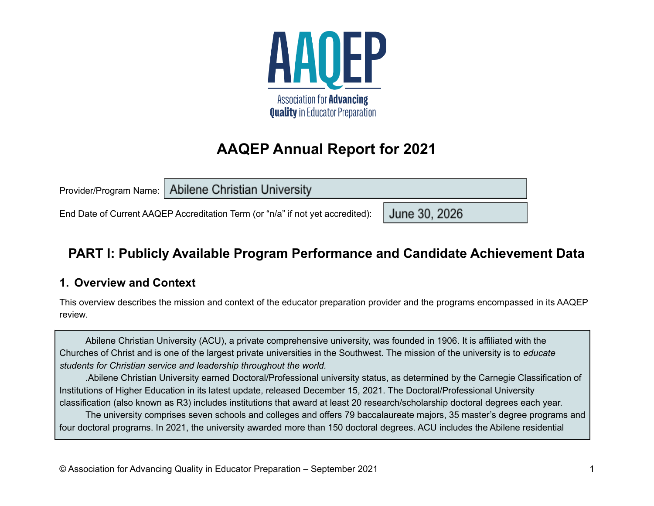

# **AAQEP Annual Report for 2021**

Provider/Program Name:

**Abilene Christian University** 

End Date of Current AAQEP Accreditation Term (or "n/a" if not yet accredited):

# **PART I: Publicly Available Program Performance and Candidate Achievement Data**

June 30, 2026

### **1. Overview and Context**

This overview describes the mission and context of the educator preparation provider and the programs encompassed in its AAQEP review.

Abilene Christian University (ACU), a private comprehensive university, was founded in 1906. It is affiliated with the Churches of Christ and is one of the largest private universities in the Southwest. The mission of the university is to *educate students for Christian service and leadership throughout the world.*

.Abilene Christian University earned Doctoral/Professional university status, as determined by the Carnegie Classification of Institutions of Higher Education in its latest update, released December 15, 2021. The Doctoral/Professional University classification (also known as R3) includes institutions that award at least 20 research/scholarship doctoral degrees each year.

The university comprises seven schools and colleges and offers 79 baccalaureate majors, 35 master's degree programs and four doctoral programs. In 2021, the university awarded more than 150 doctoral degrees. ACU includes the Abilene residential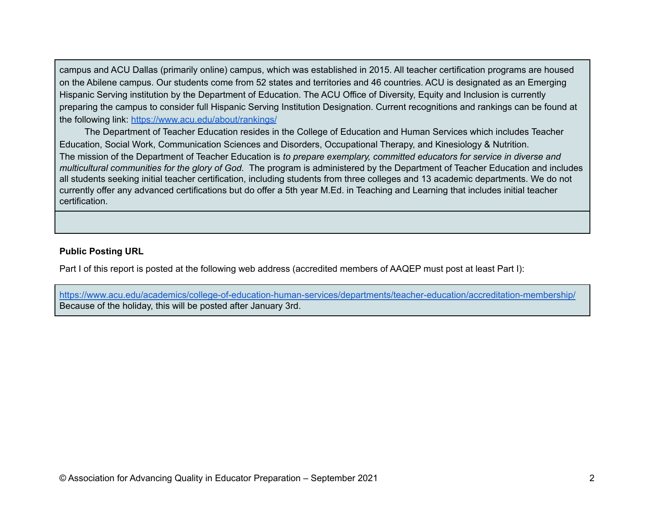campus and ACU Dallas (primarily online) campus, which was established in 2015. All teacher certification programs are housed on the Abilene campus. Our students come from 52 states and territories and 46 countries. ACU is designated as an Emerging Hispanic Serving institution by the Department of Education. The ACU Office of Diversity, Equity and Inclusion is currently preparing the campus to consider full Hispanic Serving Institution Designation. Current recognitions and rankings can be found at the following link: <https://www.acu.edu/about/rankings/>

The Department of Teacher Education resides in the College of Education and Human Services which includes Teacher Education, Social Work, Communication Sciences and Disorders, Occupational Therapy, and Kinesiology & Nutrition. The mission of the Department of Teacher Education is *to prepare exemplary, committed educators for service in diverse and multicultural communities for the glory of God.* The program is administered by the Department of Teacher Education and includes all students seeking initial teacher certification, including students from three colleges and 13 academic departments. We do not currently offer any advanced certifications but do offer a 5th year M.Ed. in Teaching and Learning that includes initial teacher certification.

#### **Public Posting URL**

Part I of this report is posted at the following web address (accredited members of AAQEP must post at least Part I):

<https://www.acu.edu/academics/college-of-education-human-services/departments/teacher-education/accreditation-membership/> Because of the holiday, this will be posted after January 3rd.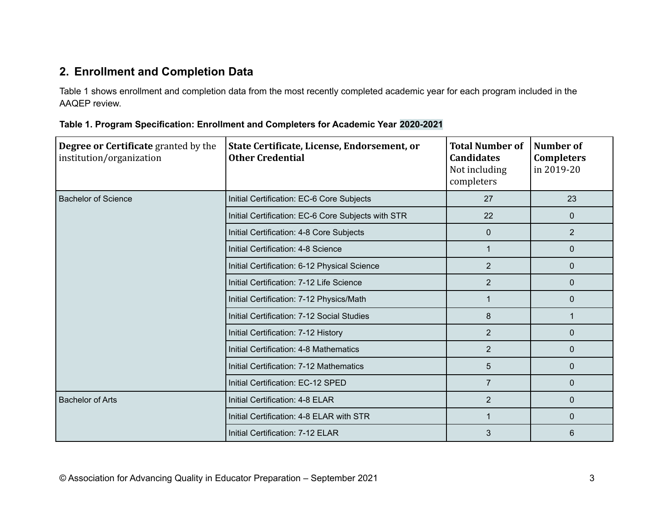# **2. Enrollment and Completion Data**

Table 1 shows enrollment and completion data from the most recently completed academic year for each program included in the AAQEP review.

| <b>Degree or Certificate granted by the</b><br>institution/organization | State Certificate, License, Endorsement, or<br><b>Other Credential</b> | <b>Total Number of</b><br><b>Candidates</b><br>Not including<br>completers | Number of<br><b>Completers</b><br>in 2019-20 |
|-------------------------------------------------------------------------|------------------------------------------------------------------------|----------------------------------------------------------------------------|----------------------------------------------|
| <b>Bachelor of Science</b>                                              | Initial Certification: EC-6 Core Subjects                              | 27                                                                         | 23                                           |
|                                                                         | Initial Certification: EC-6 Core Subjects with STR                     | 22                                                                         | $\mathbf{0}$                                 |
|                                                                         | Initial Certification: 4-8 Core Subjects                               | $\mathbf 0$                                                                | $\overline{2}$                               |
|                                                                         | Initial Certification: 4-8 Science                                     | $\mathbf 1$                                                                | $\mathbf 0$                                  |
|                                                                         | Initial Certification: 6-12 Physical Science                           | $\overline{2}$                                                             | $\mathbf 0$                                  |
|                                                                         | Initial Certification: 7-12 Life Science                               | $\overline{2}$                                                             | $\mathbf{0}$                                 |
|                                                                         | Initial Certification: 7-12 Physics/Math                               | 1                                                                          | $\mathbf 0$                                  |
|                                                                         | Initial Certification: 7-12 Social Studies                             | 8                                                                          |                                              |
|                                                                         | Initial Certification: 7-12 History                                    | $\overline{2}$                                                             | $\mathbf{0}$                                 |
|                                                                         | Initial Certification: 4-8 Mathematics                                 | $\overline{2}$                                                             | $\mathbf 0$                                  |
|                                                                         | Initial Certification: 7-12 Mathematics                                | 5                                                                          | $\mathbf 0$                                  |
|                                                                         | Initial Certification: EC-12 SPED                                      | $\overline{7}$                                                             | $\mathbf 0$                                  |
| <b>Bachelor of Arts</b>                                                 | Initial Certification: 4-8 ELAR                                        | $\overline{2}$                                                             | $\mathbf 0$                                  |
|                                                                         | Initial Certification: 4-8 ELAR with STR                               | 1                                                                          | $\mathbf{0}$                                 |
|                                                                         | Initial Certification: 7-12 ELAR                                       | 3                                                                          | 6                                            |

**Table 1. Program Specification: Enrollment and Completers for Academic Year 2020-2021**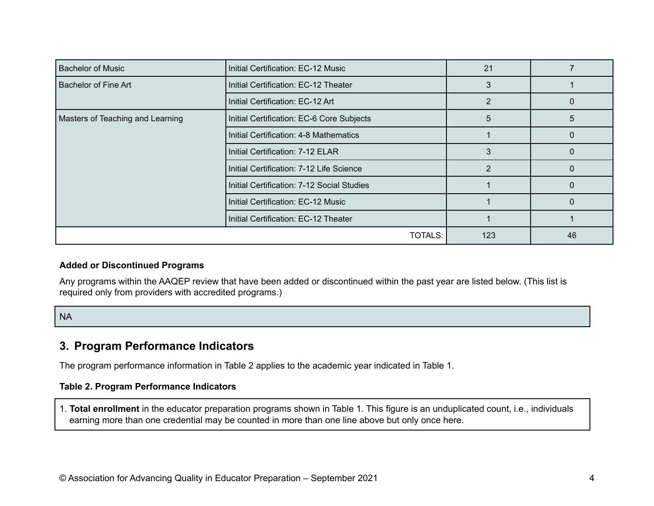| <b>Bachelor of Music</b>         | Initial Certification: EC-12 Music         | 21  |    |
|----------------------------------|--------------------------------------------|-----|----|
| Bachelor of Fine Art             | Initial Certification: EC-12 Theater       | 3   |    |
|                                  | Initial Certification: EC-12 Art           |     |    |
| Masters of Teaching and Learning | Initial Certification: EC-6 Core Subjects  | 5   | ა  |
|                                  | Initial Certification: 4-8 Mathematics     |     |    |
|                                  | Initial Certification: 7-12 ELAR           | 3   |    |
|                                  | Initial Certification: 7-12 Life Science   | 2   |    |
|                                  | Initial Certification: 7-12 Social Studies |     |    |
|                                  | Initial Certification: EC-12 Music         |     |    |
|                                  | Initial Certification: EC-12 Theater       |     |    |
|                                  | TOTALS:                                    | 123 | 46 |

#### **Added or Discontinued Programs**

Any programs within the AAQEP review that have been added or discontinued within the past year are listed below. (This list is required only from providers with accredited programs.)

NA

#### **3. Program Performance Indicators**

The program performance information in Table 2 applies to the academic year indicated in Table 1.

#### **Table 2. Program Performance Indicators**

1. **Total enrollment** in the educator preparation programs shown in Table 1. This figure is an unduplicated count, i.e., individuals earning more than one credential may be counted in more than one line above but only once here.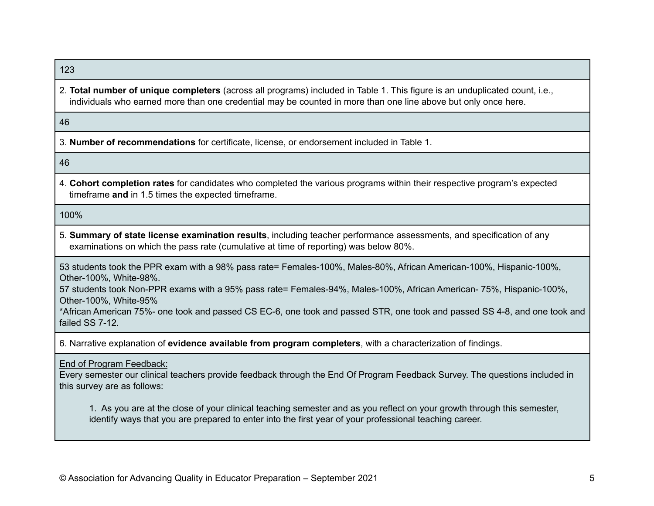123

2. **Total number of unique completers** (across all programs) included in Table 1. This figure is an unduplicated count, i.e., individuals who earned more than one credential may be counted in more than one line above but only once here.

46

3. **Number of recommendations** for certificate, license, or endorsement included in Table 1.

46

4. **Cohort completion rates** for candidates who completed the various programs within their respective program's expected timeframe **and** in 1.5 times the expected timeframe.

100%

5. **Summary of state license examination results**, including teacher performance assessments, and specification of any examinations on which the pass rate (cumulative at time of reporting) was below 80%.

53 students took the PPR exam with a 98% pass rate= Females-100%, Males-80%, African American-100%, Hispanic-100%, Other-100%, White-98%.

57 students took Non-PPR exams with a 95% pass rate= Females-94%, Males-100%, African American- 75%, Hispanic-100%, Other-100%, White-95%

\*African American 75%- one took and passed CS EC-6, one took and passed STR, one took and passed SS 4-8, and one took and failed SS 7-12.

6. Narrative explanation of **evidence available from program completers**, with a characterization of findings.

End of Program Feedback:

Every semester our clinical teachers provide feedback through the End Of Program Feedback Survey. The questions included in this survey are as follows:

1. As you are at the close of your clinical teaching semester and as you reflect on your growth through this semester, identify ways that you are prepared to enter into the first year of your professional teaching career.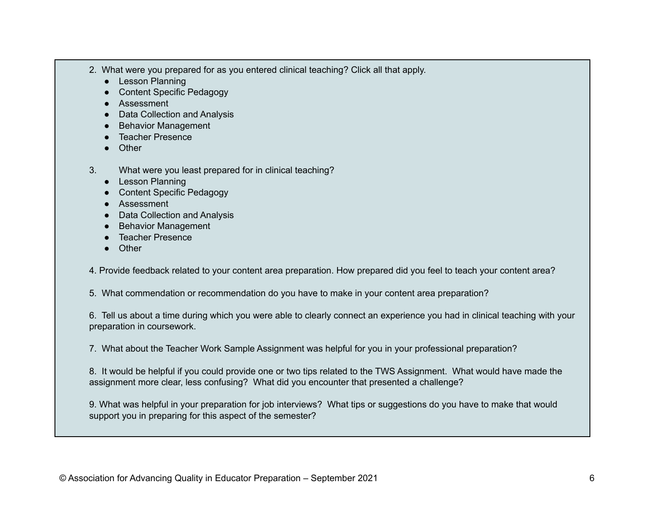- 2. What were you prepared for as you entered clinical teaching? Click all that apply.
	- Lesson Planning
	- Content Specific Pedagogy
	- Assessment
	- Data Collection and Analysis
	- Behavior Management
	- Teacher Presence
	- Other
- 3. What were you least prepared for in clinical teaching?
	- Lesson Planning
	- Content Specific Pedagogy
	- Assessment
	- Data Collection and Analysis
	- Behavior Management
	- Teacher Presence
	- Other

4. Provide feedback related to your content area preparation. How prepared did you feel to teach your content area?

5. What commendation or recommendation do you have to make in your content area preparation?

6. Tell us about a time during which you were able to clearly connect an experience you had in clinical teaching with your preparation in coursework.

7. What about the Teacher Work Sample Assignment was helpful for you in your professional preparation?

8. It would be helpful if you could provide one or two tips related to the TWS Assignment. What would have made the assignment more clear, less confusing? What did you encounter that presented a challenge?

9. What was helpful in your preparation for job interviews? What tips or suggestions do you have to make that would support you in preparing for this aspect of the semester?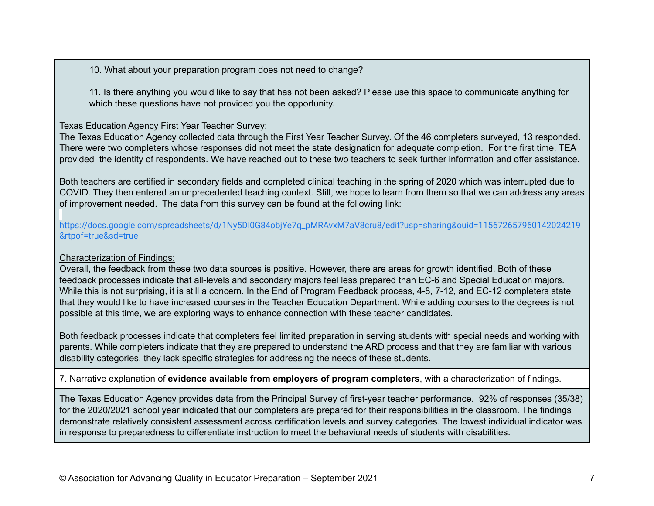10. What about your preparation program does not need to change?

11. Is there anything you would like to say that has not been asked? Please use this space to communicate anything for which these questions have not provided you the opportunity.

#### Texas Education Agency First Year Teacher Survey:

The Texas Education Agency collected data through the First Year Teacher Survey. Of the 46 completers surveyed, 13 responded. There were two completers whose responses did not meet the state designation for adequate completion. For the first time, TEA provided the identity of respondents. We have reached out to these two teachers to seek further information and offer assistance.

Both teachers are certified in secondary fields and completed clinical teaching in the spring of 2020 which was interrupted due to COVID. They then entered an unprecedented teaching context. Still, we hope to learn from them so that we can address any areas of improvement needed. The data from this survey can be found at the following link:

 [https://docs.google.com/spreadsheets/d/1Ny5Dl0G84objYe7q\\_pMRAvxM7aV8cru8/edit?usp=sharing&ouid=115672657960142024219](https://docs.google.com/spreadsheets/d/1Ny5Dl0G84objYe7q_pMRAvxM7aV8cru8/edit?usp=sharing&ouid=115672657960142024219&rtpof=true&sd=true) [&rtpof=true&sd=true](https://docs.google.com/spreadsheets/d/1Ny5Dl0G84objYe7q_pMRAvxM7aV8cru8/edit?usp=sharing&ouid=115672657960142024219&rtpof=true&sd=true)

#### Characterization of Findings:

Overall, the feedback from these two data sources is positive. However, there are areas for growth identified. Both of these feedback processes indicate that all-levels and secondary majors feel less prepared than EC-6 and Special Education majors. While this is not surprising, it is still a concern. In the End of Program Feedback process, 4-8, 7-12, and EC-12 completers state that they would like to have increased courses in the Teacher Education Department. While adding courses to the degrees is not possible at this time, we are exploring ways to enhance connection with these teacher candidates.

Both feedback processes indicate that completers feel limited preparation in serving students with special needs and working with parents. While completers indicate that they are prepared to understand the ARD process and that they are familiar with various disability categories, they lack specific strategies for addressing the needs of these students.

7. Narrative explanation of **evidence available from employers of program completers**, with a characterization of findings.

The Texas Education Agency provides data from the Principal Survey of first-year teacher performance. 92% of responses (35/38) for the 2020/2021 school year indicated that our completers are prepared for their responsibilities in the classroom. The findings demonstrate relatively consistent assessment across certification levels and survey categories. The lowest individual indicator was in response to preparedness to differentiate instruction to meet the behavioral needs of students with disabilities.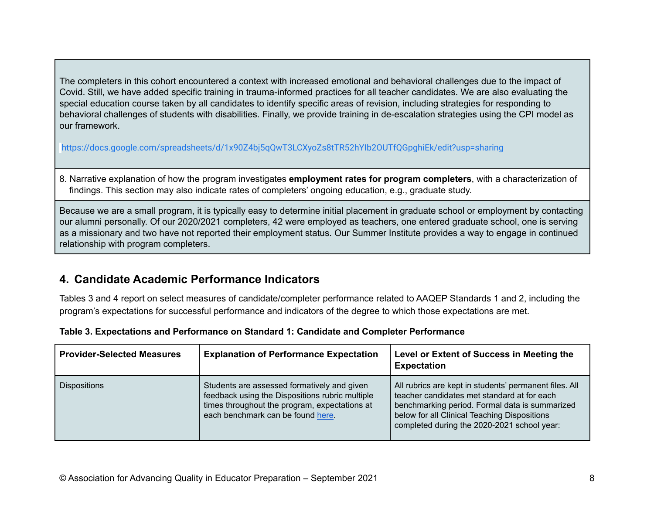The completers in this cohort encountered a context with increased emotional and behavioral challenges due to the impact of Covid. Still, we have added specific training in trauma-informed practices for all teacher candidates. We are also evaluating the special education course taken by all candidates to identify specific areas of revision, including strategies for responding to behavioral challenges of students with disabilities. Finally, we provide training in de-escalation strategies using the CPI model as our framework.

<https://docs.google.com/spreadsheets/d/1x90Z4bj5qQwT3LCXyoZs8tTR52hYIb2OUTfQGpghiEk/edit?usp=sharing>

8. Narrative explanation of how the program investigates **employment rates for program completers**, with a characterization of findings. This section may also indicate rates of completers' ongoing education, e.g., graduate study.

Because we are a small program, it is typically easy to determine initial placement in graduate school or employment by contacting our alumni personally. Of our 2020/2021 completers, 42 were employed as teachers, one entered graduate school, one is serving as a missionary and two have not reported their employment status. Our Summer Institute provides a way to engage in continued relationship with program completers.

# **4. Candidate Academic Performance Indicators**

Tables 3 and 4 report on select measures of candidate/completer performance related to AAQEP Standards 1 and 2, including the program's expectations for successful performance and indicators of the degree to which those expectations are met.

| <b>Provider-Selected Measures</b> | <b>Explanation of Performance Expectation</b>                                                                                                                                        | Level or Extent of Success in Meeting the<br><b>Expectation</b>                                                                                                                                                                                        |
|-----------------------------------|--------------------------------------------------------------------------------------------------------------------------------------------------------------------------------------|--------------------------------------------------------------------------------------------------------------------------------------------------------------------------------------------------------------------------------------------------------|
| <b>Dispositions</b>               | Students are assessed formatively and given<br>feedback using the Dispositions rubric multiple<br>times throughout the program, expectations at<br>each benchmark can be found here. | All rubrics are kept in students' permanent files. All<br>teacher candidates met standard at for each<br>benchmarking period. Formal data is summarized<br>below for all Clinical Teaching Dispositions<br>completed during the 2020-2021 school year: |

|  |  | Table 3. Expectations and Performance on Standard 1: Candidate and Completer Performance |
|--|--|------------------------------------------------------------------------------------------|
|  |  |                                                                                          |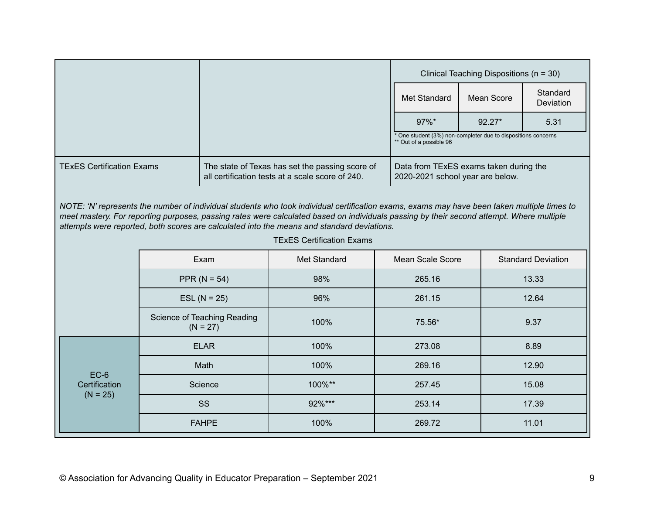|                                                                                                                                                                                                                                                                                                                                                                                       |  |                                           |                                  |  | Clinical Teaching Dispositions (n = 30)                                                  |                   |                           |
|---------------------------------------------------------------------------------------------------------------------------------------------------------------------------------------------------------------------------------------------------------------------------------------------------------------------------------------------------------------------------------------|--|-------------------------------------------|----------------------------------|--|------------------------------------------------------------------------------------------|-------------------|---------------------------|
|                                                                                                                                                                                                                                                                                                                                                                                       |  |                                           |                                  |  | Met Standard                                                                             | <b>Mean Score</b> | Standard<br>Deviation     |
|                                                                                                                                                                                                                                                                                                                                                                                       |  |                                           |                                  |  | 97%*                                                                                     | 92.27*            | 5.31                      |
|                                                                                                                                                                                                                                                                                                                                                                                       |  |                                           |                                  |  | * One student (3%) non-completer due to dispositions concerns<br>** Out of a possible 96 |                   |                           |
| <b>TExES Certification Exams</b><br>The state of Texas has set the passing score of<br>Data from TExES exams taken during the<br>all certification tests at a scale score of 240.<br>2020-2021 school year are below.                                                                                                                                                                 |  |                                           |                                  |  |                                                                                          |                   |                           |
| NOTE: 'N' represents the number of individual students who took individual certification exams, exams may have been taken multiple times to<br>meet mastery. For reporting purposes, passing rates were calculated based on individuals passing by their second attempt. Where multiple<br>attempts were reported, both scores are calculated into the means and standard deviations. |  |                                           |                                  |  |                                                                                          |                   |                           |
|                                                                                                                                                                                                                                                                                                                                                                                       |  |                                           | <b>TExES Certification Exams</b> |  |                                                                                          |                   |                           |
|                                                                                                                                                                                                                                                                                                                                                                                       |  | Exam                                      | Met Standard                     |  | <b>Mean Scale Score</b>                                                                  |                   | <b>Standard Deviation</b> |
|                                                                                                                                                                                                                                                                                                                                                                                       |  | PPR ( $N = 54$ )                          | 98%                              |  | 265.16                                                                                   |                   | 13.33                     |
|                                                                                                                                                                                                                                                                                                                                                                                       |  | $ESL (N = 25)$                            | 96%                              |  | 261.15                                                                                   |                   | 12.64                     |
|                                                                                                                                                                                                                                                                                                                                                                                       |  | Science of Teaching Reading<br>$(N = 27)$ | 100%                             |  | 75.56*                                                                                   |                   | 9.37                      |
|                                                                                                                                                                                                                                                                                                                                                                                       |  | <b>ELAR</b>                               | 100%                             |  | 273.08                                                                                   |                   | 8.89                      |
| $EC-6$                                                                                                                                                                                                                                                                                                                                                                                |  | Math                                      | 100%                             |  | 269.16                                                                                   |                   | 12.90                     |
| Certification                                                                                                                                                                                                                                                                                                                                                                         |  | Science                                   | 100%**                           |  | 257.45                                                                                   |                   | 15.08                     |
| $(N = 25)$                                                                                                                                                                                                                                                                                                                                                                            |  | SS                                        | 92%***                           |  | 253.14                                                                                   |                   | 17.39                     |
|                                                                                                                                                                                                                                                                                                                                                                                       |  | <b>FAHPE</b>                              | 100%                             |  | 269.72                                                                                   |                   | 11.01                     |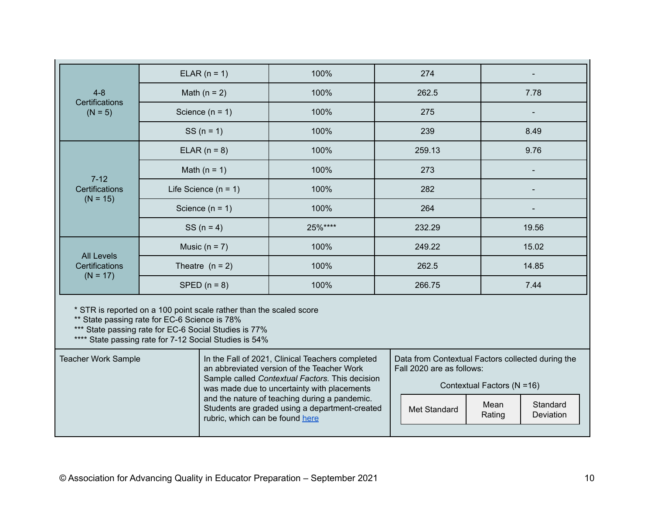|                                                                                                                                                                                                                                                                   |                                                                       | $ELAR (n = 1)$ | 100%                                                                            | 274    |       |  |
|-------------------------------------------------------------------------------------------------------------------------------------------------------------------------------------------------------------------------------------------------------------------|-----------------------------------------------------------------------|----------------|---------------------------------------------------------------------------------|--------|-------|--|
| $4 - 8$<br>Certifications                                                                                                                                                                                                                                         |                                                                       | Math $(n = 2)$ | 100%                                                                            | 262.5  | 7.78  |  |
| $(N = 5)$                                                                                                                                                                                                                                                         | Science $(n = 1)$                                                     |                | 100%                                                                            | 275    |       |  |
|                                                                                                                                                                                                                                                                   |                                                                       | $SS (n = 1)$   | 100%                                                                            | 239    | 8.49  |  |
|                                                                                                                                                                                                                                                                   |                                                                       | ELAR $(n = 8)$ | 100%                                                                            | 259.13 | 9.76  |  |
|                                                                                                                                                                                                                                                                   |                                                                       | Math $(n = 1)$ | 100%                                                                            | 273    |       |  |
| Certifications                                                                                                                                                                                                                                                    | $7 - 12$<br>Life Science $(n = 1)$<br>$(N = 15)$<br>Science $(n = 1)$ |                | 100%                                                                            |        | 282   |  |
|                                                                                                                                                                                                                                                                   |                                                                       |                | 100%                                                                            | 264    |       |  |
|                                                                                                                                                                                                                                                                   |                                                                       | $SS (n = 4)$   | 25%****                                                                         | 232.29 | 19.56 |  |
| <b>All Levels</b>                                                                                                                                                                                                                                                 | Music ( $n = 7$ )                                                     |                | 100%                                                                            | 249.22 | 15.02 |  |
| <b>Certifications</b>                                                                                                                                                                                                                                             | 100%<br>Theatre $(n = 2)$                                             |                |                                                                                 | 262.5  | 14.85 |  |
| $(N = 17)$                                                                                                                                                                                                                                                        | SPED $(n = 8)$                                                        |                | 100%                                                                            | 266.75 | 7.44  |  |
| * STR is reported on a 100 point scale rather than the scaled score<br>** State passing rate for EC-6 Science is 78%<br>*** State passing rate for EC-6 Social Studies is 77%<br>**** State passing rate for 7-12 Social Studies is 54%                           |                                                                       |                |                                                                                 |        |       |  |
| <b>Teacher Work Sample</b><br>In the Fall of 2021, Clinical Teachers completed<br>Data from Contextual Factors collected during the<br>an abbreviated version of the Teacher Work<br>Fall 2020 are as follows:<br>Sample called Contextual Factors. This decision |                                                                       |                | the contract of the contract of the contract of the contract of the contract of |        |       |  |

| Contextual Factors (N =16) |  |  |  |
|----------------------------|--|--|--|
|----------------------------|--|--|--|

| was made due to uncertainty with placements                                                                                        |              | Contextual Factors (N = 16) |                       |  |
|------------------------------------------------------------------------------------------------------------------------------------|--------------|-----------------------------|-----------------------|--|
| and the nature of teaching during a pandemic.<br>Students are graded using a department-created<br>rubric, which can be found here | Met Standard | Mean<br>Rating              | Standard<br>Deviation |  |
|                                                                                                                                    |              |                             |                       |  |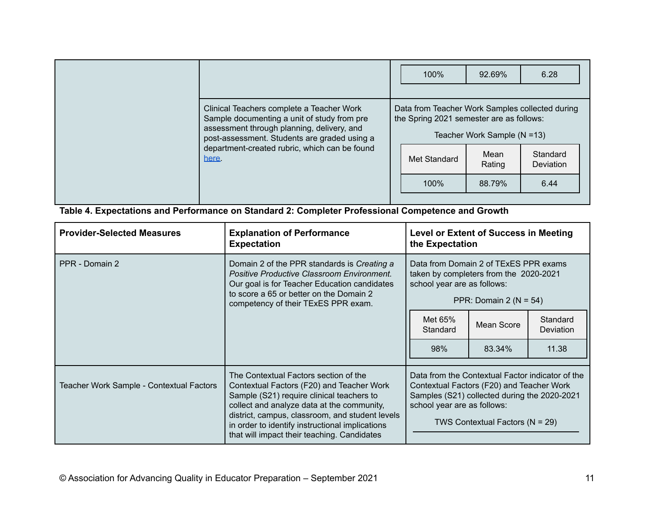|                                                                                                                                                                                                                                                  | 100%                                                                                                                | 92.69%                                                   | 6.28                          |
|--------------------------------------------------------------------------------------------------------------------------------------------------------------------------------------------------------------------------------------------------|---------------------------------------------------------------------------------------------------------------------|----------------------------------------------------------|-------------------------------|
| Clinical Teachers complete a Teacher Work<br>Sample documenting a unit of study from pre<br>assessment through planning, delivery, and<br>post-assessment. Students are graded using a<br>department-created rubric, which can be found<br>here. | Data from Teacher Work Samples collected during<br>the Spring 2021 semester are as follows:<br>Met Standard<br>100% | Teacher Work Sample (N = 13)<br>Mean<br>Rating<br>88.79% | Standard<br>Deviation<br>6.44 |

**Table 4. Expectations and Performance on Standard 2: Completer Professional Competence and Growth**

| <b>Provider-Selected Measures</b>        | <b>Explanation of Performance</b><br><b>Expectation</b>                                                                                                                                                                                                                                                                            | <b>Level or Extent of Success in Meeting</b><br>the Expectation                                                                                                                                                     |            |                              |
|------------------------------------------|------------------------------------------------------------------------------------------------------------------------------------------------------------------------------------------------------------------------------------------------------------------------------------------------------------------------------------|---------------------------------------------------------------------------------------------------------------------------------------------------------------------------------------------------------------------|------------|------------------------------|
| PPR - Domain 2                           | Domain 2 of the PPR standards is Creating a<br><b>Positive Productive Classroom Environment.</b><br>Our goal is for Teacher Education candidates<br>to score a 65 or better on the Domain 2<br>competency of their TExES PPR exam.                                                                                                 | Data from Domain 2 of TExES PPR exams<br>taken by completers from the 2020-2021<br>school year are as follows:<br>PPR: Domain 2 ( $N = 54$ )                                                                        |            |                              |
|                                          |                                                                                                                                                                                                                                                                                                                                    |                                                                                                                                                                                                                     | Mean Score | Standard<br><b>Deviation</b> |
|                                          |                                                                                                                                                                                                                                                                                                                                    | 98%                                                                                                                                                                                                                 | 83.34%     | 11.38                        |
| Teacher Work Sample - Contextual Factors | The Contextual Factors section of the<br>Contextual Factors (F20) and Teacher Work<br>Sample (S21) require clinical teachers to<br>collect and analyze data at the community,<br>district, campus, classroom, and student levels<br>in order to identify instructional implications<br>that will impact their teaching. Candidates | Data from the Contextual Factor indicator of the<br>Contextual Factors (F20) and Teacher Work<br>Samples (S21) collected during the 2020-2021<br>school year are as follows:<br>TWS Contextual Factors ( $N = 29$ ) |            |                              |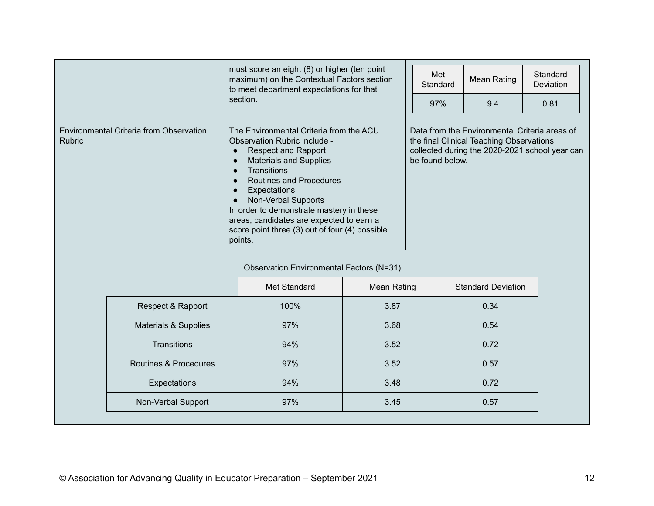|                                                          | must score an eight (8) or higher (ten point<br>maximum) on the Contextual Factors section<br>to meet department expectations for that<br>section.                                                                                                                                                                                                                                  | Met<br>Standard<br>97% | Mean Rating<br>9.4                                                                        | Standard<br><b>Deviation</b><br>0.81           |
|----------------------------------------------------------|-------------------------------------------------------------------------------------------------------------------------------------------------------------------------------------------------------------------------------------------------------------------------------------------------------------------------------------------------------------------------------------|------------------------|-------------------------------------------------------------------------------------------|------------------------------------------------|
| Environmental Criteria from Observation<br><b>Rubric</b> | The Environmental Criteria from the ACU<br>Observation Rubric include -<br><b>Respect and Rapport</b><br><b>Materials and Supplies</b><br><b>Transitions</b><br>Routines and Procedures<br>Expectations<br>Non-Verbal Supports<br>In order to demonstrate mastery in these<br>areas, candidates are expected to earn a<br>score point three (3) out of four (4) possible<br>points. | be found below.        | Data from the Environmental Criteria areas of<br>the final Clinical Teaching Observations | collected during the 2020-2021 school year can |

#### Observation Environmental Factors (N=31)

|                                 | Met Standard | Mean Rating<br><b>Standard Deviation</b> |      |
|---------------------------------|--------------|------------------------------------------|------|
| Respect & Rapport               | 100%         | 3.87                                     | 0.34 |
| <b>Materials &amp; Supplies</b> | 97%          | 3.68                                     | 0.54 |
| <b>Transitions</b>              | 94%          | 3.52                                     | 0.72 |
| Routines & Procedures           | 97%          | 3.52                                     | 0.57 |
| Expectations                    | 94%          | 3.48                                     | 0.72 |
| Non-Verbal Support              | 97%          | 3.45                                     | 0.57 |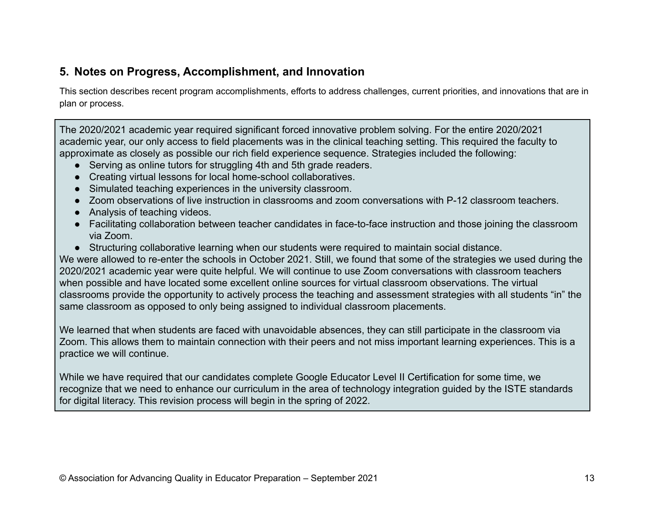### **5. Notes on Progress, Accomplishment, and Innovation**

This section describes recent program accomplishments, efforts to address challenges, current priorities, and innovations that are in plan or process.

The 2020/2021 academic year required significant forced innovative problem solving. For the entire 2020/2021 academic year, our only access to field placements was in the clinical teaching setting. This required the faculty to approximate as closely as possible our rich field experience sequence. Strategies included the following:

- Serving as online tutors for struggling 4th and 5th grade readers.
- Creating virtual lessons for local home-school collaboratives.
- Simulated teaching experiences in the university classroom.
- Zoom observations of live instruction in classrooms and zoom conversations with P-12 classroom teachers.
- Analysis of teaching videos.
- Facilitating collaboration between teacher candidates in face-to-face instruction and those joining the classroom via Zoom.
- Structuring collaborative learning when our students were required to maintain social distance.

We were allowed to re-enter the schools in October 2021. Still, we found that some of the strategies we used during the 2020/2021 academic year were quite helpful. We will continue to use Zoom conversations with classroom teachers when possible and have located some excellent online sources for virtual classroom observations. The virtual classrooms provide the opportunity to actively process the teaching and assessment strategies with all students "in" the same classroom as opposed to only being assigned to individual classroom placements.

We learned that when students are faced with unavoidable absences, they can still participate in the classroom via Zoom. This allows them to maintain connection with their peers and not miss important learning experiences. This is a practice we will continue.

While we have required that our candidates complete Google Educator Level II Certification for some time, we recognize that we need to enhance our curriculum in the area of technology integration guided by the ISTE standards for digital literacy. This revision process will begin in the spring of 2022.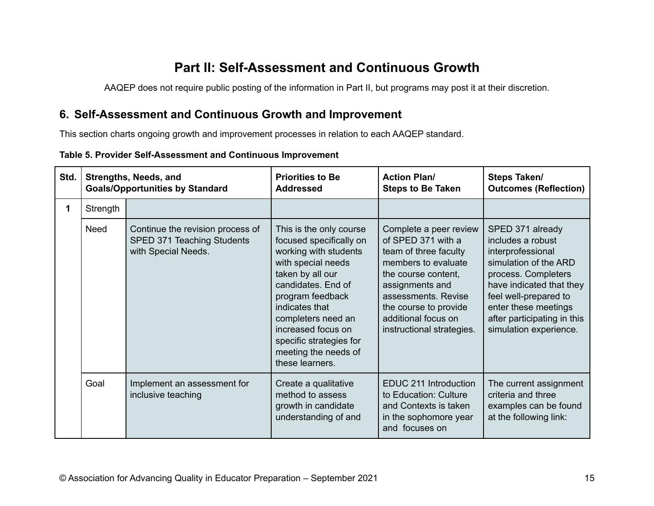# **Part II: Self-Assessment and Continuous Growth**

AAQEP does not require public posting of the information in Part II, but programs may post it at their discretion.

### **6. Self-Assessment and Continuous Growth and Improvement**

This section charts ongoing growth and improvement processes in relation to each AAQEP standard.

| Table 5. Provider Self-Assessment and Continuous Improvement |  |
|--------------------------------------------------------------|--|
|--------------------------------------------------------------|--|

| Std. |          | Strengths, Needs, and<br><b>Goals/Opportunities by Standard</b>                       | <b>Priorities to Be</b><br><b>Addressed</b>                                                                                                                                                                                                                                                         | <b>Action Plan/</b><br><b>Steps to Be Taken</b>                                                                                                                                                                                            | Steps Taken/<br><b>Outcomes (Reflection)</b>                                                                                                                                                                                                     |
|------|----------|---------------------------------------------------------------------------------------|-----------------------------------------------------------------------------------------------------------------------------------------------------------------------------------------------------------------------------------------------------------------------------------------------------|--------------------------------------------------------------------------------------------------------------------------------------------------------------------------------------------------------------------------------------------|--------------------------------------------------------------------------------------------------------------------------------------------------------------------------------------------------------------------------------------------------|
| 1    | Strength |                                                                                       |                                                                                                                                                                                                                                                                                                     |                                                                                                                                                                                                                                            |                                                                                                                                                                                                                                                  |
|      | Need     | Continue the revision process of<br>SPED 371 Teaching Students<br>with Special Needs. | This is the only course<br>focused specifically on<br>working with students<br>with special needs<br>taken by all our<br>candidates. End of<br>program feedback<br>indicates that<br>completers need an<br>increased focus on<br>specific strategies for<br>meeting the needs of<br>these learners. | Complete a peer review<br>of SPED 371 with a<br>team of three faculty<br>members to evaluate<br>the course content,<br>assignments and<br>assessments, Revise<br>the course to provide<br>additional focus on<br>instructional strategies. | SPED 371 already<br>includes a robust<br>interprofessional<br>simulation of the ARD<br>process. Completers<br>have indicated that they<br>feel well-prepared to<br>enter these meetings<br>after participating in this<br>simulation experience. |
|      | Goal     | Implement an assessment for<br>inclusive teaching                                     | Create a qualitative<br>method to assess<br>growth in candidate<br>understanding of and                                                                                                                                                                                                             | EDUC 211 Introduction<br>to Education: Culture<br>and Contexts is taken<br>in the sophomore year<br>and focuses on                                                                                                                         | The current assignment<br>criteria and three<br>examples can be found<br>at the following link:                                                                                                                                                  |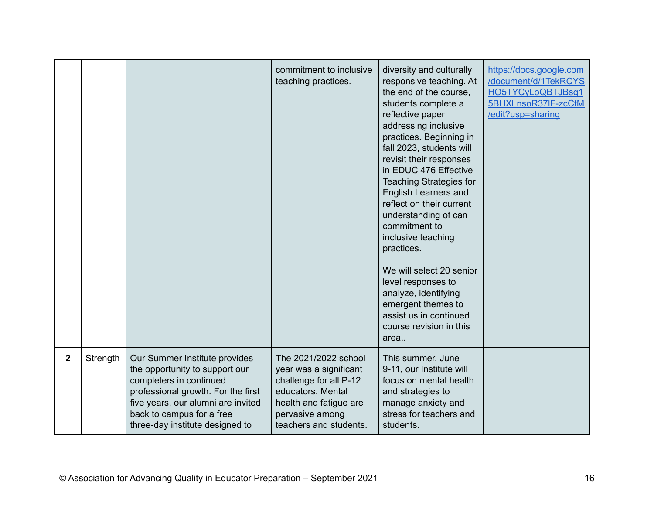|              |          |                                                                                                                                                                                                                                        | commitment to inclusive<br>teaching practices.                                                                                                                       | diversity and culturally<br>responsive teaching. At<br>the end of the course,<br>students complete a<br>reflective paper<br>addressing inclusive<br>practices. Beginning in<br>fall 2023, students will<br>revisit their responses<br>in EDUC 476 Effective<br><b>Teaching Strategies for</b><br><b>English Learners and</b><br>reflect on their current<br>understanding of can<br>commitment to<br>inclusive teaching<br>practices.<br>We will select 20 senior<br>level responses to<br>analyze, identifying<br>emergent themes to<br>assist us in continued<br>course revision in this<br>area | https://docs.google.com<br>/document/d/1TekRCYS<br>HO5TYCyLoQBTJBsq1<br>5BHXLnsoR37IF-zcCtM<br>/edit?usp=sharing |
|--------------|----------|----------------------------------------------------------------------------------------------------------------------------------------------------------------------------------------------------------------------------------------|----------------------------------------------------------------------------------------------------------------------------------------------------------------------|----------------------------------------------------------------------------------------------------------------------------------------------------------------------------------------------------------------------------------------------------------------------------------------------------------------------------------------------------------------------------------------------------------------------------------------------------------------------------------------------------------------------------------------------------------------------------------------------------|------------------------------------------------------------------------------------------------------------------|
| $\mathbf{2}$ | Strength | Our Summer Institute provides<br>the opportunity to support our<br>completers in continued<br>professional growth. For the first<br>five years, our alumni are invited<br>back to campus for a free<br>three-day institute designed to | The 2021/2022 school<br>year was a significant<br>challenge for all P-12<br>educators. Mental<br>health and fatigue are<br>pervasive among<br>teachers and students. | This summer, June<br>9-11, our Institute will<br>focus on mental health<br>and strategies to<br>manage anxiety and<br>stress for teachers and<br>students.                                                                                                                                                                                                                                                                                                                                                                                                                                         |                                                                                                                  |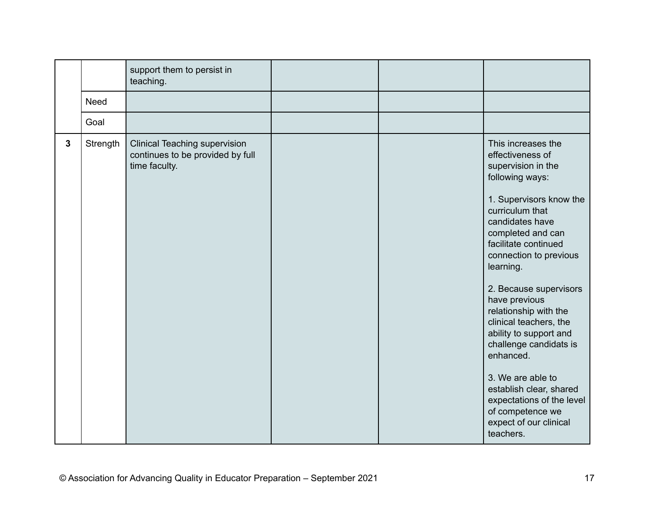|              |             | support them to persist in<br>teaching.                                                   |  |                                                                                                                                                                                                                                                                                                                                                                                                                                                                                                                                             |
|--------------|-------------|-------------------------------------------------------------------------------------------|--|---------------------------------------------------------------------------------------------------------------------------------------------------------------------------------------------------------------------------------------------------------------------------------------------------------------------------------------------------------------------------------------------------------------------------------------------------------------------------------------------------------------------------------------------|
|              | <b>Need</b> |                                                                                           |  |                                                                                                                                                                                                                                                                                                                                                                                                                                                                                                                                             |
|              | Goal        |                                                                                           |  |                                                                                                                                                                                                                                                                                                                                                                                                                                                                                                                                             |
| $\mathbf{3}$ | Strength    | <b>Clinical Teaching supervision</b><br>continues to be provided by full<br>time faculty. |  | This increases the<br>effectiveness of<br>supervision in the<br>following ways:<br>1. Supervisors know the<br>curriculum that<br>candidates have<br>completed and can<br>facilitate continued<br>connection to previous<br>learning.<br>2. Because supervisors<br>have previous<br>relationship with the<br>clinical teachers, the<br>ability to support and<br>challenge candidats is<br>enhanced.<br>3. We are able to<br>establish clear, shared<br>expectations of the level<br>of competence we<br>expect of our clinical<br>teachers. |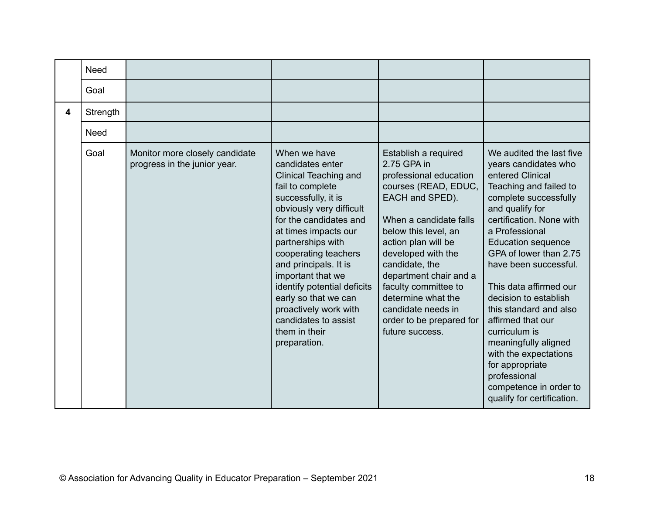|                         | <b>Need</b> |                                                                |                                                                                                                                                                                                                                                                                                                                                                                                                               |                                                                                                                                                                                                                                                                                                                                                                        |                                                                                                                                                                                                                                                                                                                                                                                                                                                                                                                                         |
|-------------------------|-------------|----------------------------------------------------------------|-------------------------------------------------------------------------------------------------------------------------------------------------------------------------------------------------------------------------------------------------------------------------------------------------------------------------------------------------------------------------------------------------------------------------------|------------------------------------------------------------------------------------------------------------------------------------------------------------------------------------------------------------------------------------------------------------------------------------------------------------------------------------------------------------------------|-----------------------------------------------------------------------------------------------------------------------------------------------------------------------------------------------------------------------------------------------------------------------------------------------------------------------------------------------------------------------------------------------------------------------------------------------------------------------------------------------------------------------------------------|
|                         | Goal        |                                                                |                                                                                                                                                                                                                                                                                                                                                                                                                               |                                                                                                                                                                                                                                                                                                                                                                        |                                                                                                                                                                                                                                                                                                                                                                                                                                                                                                                                         |
| $\overline{\mathbf{4}}$ | Strength    |                                                                |                                                                                                                                                                                                                                                                                                                                                                                                                               |                                                                                                                                                                                                                                                                                                                                                                        |                                                                                                                                                                                                                                                                                                                                                                                                                                                                                                                                         |
|                         | Need        |                                                                |                                                                                                                                                                                                                                                                                                                                                                                                                               |                                                                                                                                                                                                                                                                                                                                                                        |                                                                                                                                                                                                                                                                                                                                                                                                                                                                                                                                         |
|                         | Goal        | Monitor more closely candidate<br>progress in the junior year. | When we have<br>candidates enter<br><b>Clinical Teaching and</b><br>fail to complete<br>successfully, it is<br>obviously very difficult<br>for the candidates and<br>at times impacts our<br>partnerships with<br>cooperating teachers<br>and principals. It is<br>important that we<br>identify potential deficits<br>early so that we can<br>proactively work with<br>candidates to assist<br>them in their<br>preparation. | Establish a required<br>2.75 GPA in<br>professional education<br>courses (READ, EDUC,<br>EACH and SPED).<br>When a candidate falls<br>below this level, an<br>action plan will be<br>developed with the<br>candidate, the<br>department chair and a<br>faculty committee to<br>determine what the<br>candidate needs in<br>order to be prepared for<br>future success. | We audited the last five<br>years candidates who<br>entered Clinical<br>Teaching and failed to<br>complete successfully<br>and qualify for<br>certification. None with<br>a Professional<br><b>Education sequence</b><br>GPA of lower than 2.75<br>have been successful.<br>This data affirmed our<br>decision to establish<br>this standard and also<br>affirmed that our<br>curriculum is<br>meaningfully aligned<br>with the expectations<br>for appropriate<br>professional<br>competence in order to<br>qualify for certification. |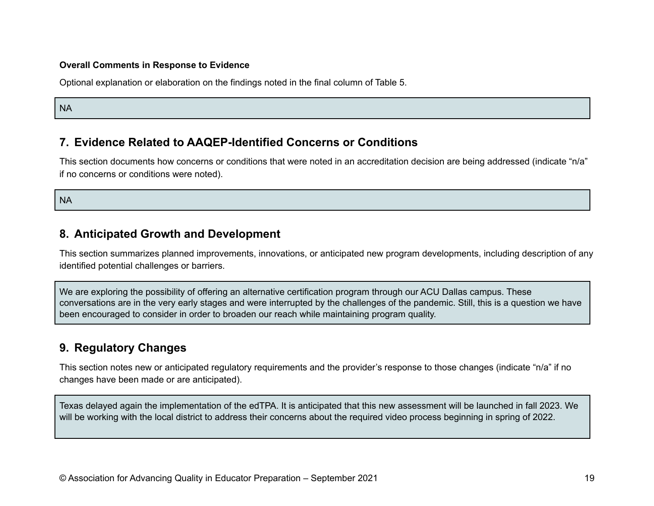#### **Overall Comments in Response to Evidence**

Optional explanation or elaboration on the findings noted in the final column of Table 5.

NA

### **7. Evidence Related to AAQEP-Identified Concerns or Conditions**

This section documents how concerns or conditions that were noted in an accreditation decision are being addressed (indicate "n/a" if no concerns or conditions were noted).

NA

### **8. Anticipated Growth and Development**

This section summarizes planned improvements, innovations, or anticipated new program developments, including description of any identified potential challenges or barriers.

We are exploring the possibility of offering an alternative certification program through our ACU Dallas campus. These conversations are in the very early stages and were interrupted by the challenges of the pandemic. Still, this is a question we have been encouraged to consider in order to broaden our reach while maintaining program quality.

# **9. Regulatory Changes**

This section notes new or anticipated regulatory requirements and the provider's response to those changes (indicate "n/a" if no changes have been made or are anticipated).

Texas delayed again the implementation of the edTPA. It is anticipated that this new assessment will be launched in fall 2023. We will be working with the local district to address their concerns about the required video process beginning in spring of 2022.